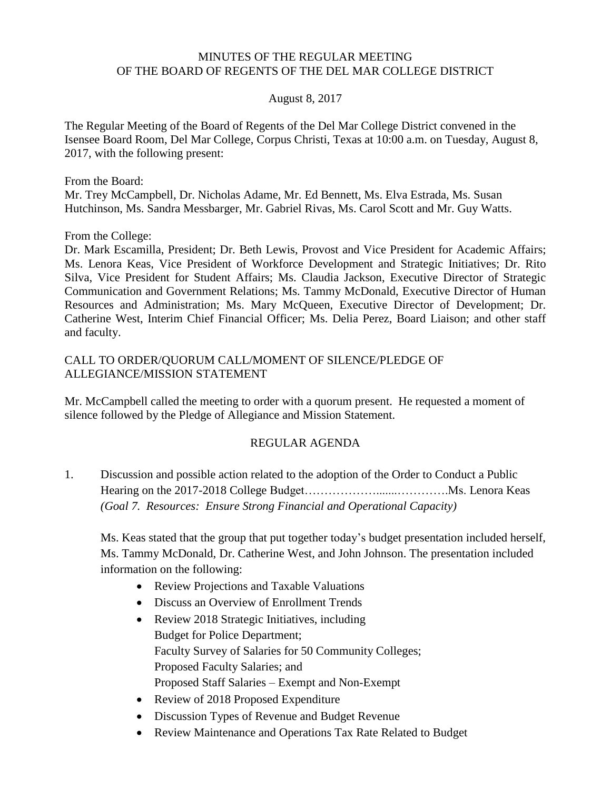#### MINUTES OF THE REGULAR MEETING OF THE BOARD OF REGENTS OF THE DEL MAR COLLEGE DISTRICT

#### August 8, 2017

The Regular Meeting of the Board of Regents of the Del Mar College District convened in the Isensee Board Room, Del Mar College, Corpus Christi, Texas at 10:00 a.m. on Tuesday, August 8, 2017, with the following present:

From the Board:

Mr. Trey McCampbell, Dr. Nicholas Adame, Mr. Ed Bennett, Ms. Elva Estrada, Ms. Susan Hutchinson, Ms. Sandra Messbarger, Mr. Gabriel Rivas, Ms. Carol Scott and Mr. Guy Watts.

From the College:

Dr. Mark Escamilla, President; Dr. Beth Lewis, Provost and Vice President for Academic Affairs; Ms. Lenora Keas, Vice President of Workforce Development and Strategic Initiatives; Dr. Rito Silva, Vice President for Student Affairs; Ms. Claudia Jackson, Executive Director of Strategic Communication and Government Relations; Ms. Tammy McDonald, Executive Director of Human Resources and Administration; Ms. Mary McQueen, Executive Director of Development; Dr. Catherine West, Interim Chief Financial Officer; Ms. Delia Perez, Board Liaison; and other staff and faculty.

### CALL TO ORDER/QUORUM CALL/MOMENT OF SILENCE/PLEDGE OF ALLEGIANCE/MISSION STATEMENT

Mr. McCampbell called the meeting to order with a quorum present. He requested a moment of silence followed by the Pledge of Allegiance and Mission Statement.

### REGULAR AGENDA

1. Discussion and possible action related to the adoption of the Order to Conduct a Public Hearing on the 2017-2018 College Budget……………….......………….Ms. Lenora Keas *(Goal 7. Resources: Ensure Strong Financial and Operational Capacity)*

Ms. Keas stated that the group that put together today's budget presentation included herself, Ms. Tammy McDonald, Dr. Catherine West, and John Johnson. The presentation included information on the following:

- Review Projections and Taxable Valuations
- Discuss an Overview of Enrollment Trends
- Review 2018 Strategic Initiatives, including Budget for Police Department; Faculty Survey of Salaries for 50 Community Colleges; Proposed Faculty Salaries; and Proposed Staff Salaries – Exempt and Non-Exempt
- Review of 2018 Proposed Expenditure
- Discussion Types of Revenue and Budget Revenue
- Review Maintenance and Operations Tax Rate Related to Budget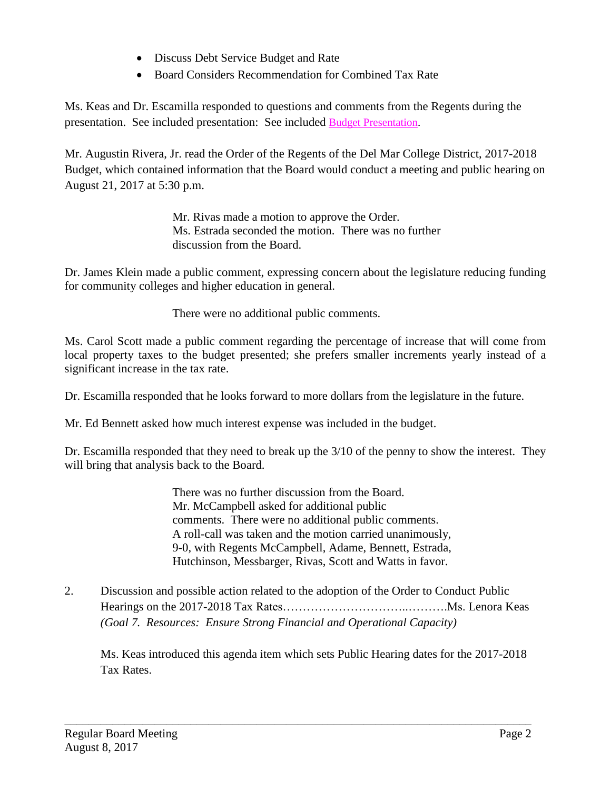- Discuss Debt Service Budget and Rate
- Board Considers Recommendation for Combined Tax Rate

Ms. Keas and Dr. Escamilla responded to questions and comments from the Regents during the presentation. See included presentation: See included Budget [Presentation.](http://www.delmar.edu/WorkArea/DownloadAsset.aspx?id=2147485954)

Mr. Augustin Rivera, Jr. read the Order of the Regents of the Del Mar College District, 2017-2018 Budget, which contained information that the Board would conduct a meeting and public hearing on August 21, 2017 at 5:30 p.m.

> Mr. Rivas made a motion to approve the Order. Ms. Estrada seconded the motion. There was no further discussion from the Board.

Dr. James Klein made a public comment, expressing concern about the legislature reducing funding for community colleges and higher education in general.

There were no additional public comments.

Ms. Carol Scott made a public comment regarding the percentage of increase that will come from local property taxes to the budget presented; she prefers smaller increments yearly instead of a significant increase in the tax rate.

Dr. Escamilla responded that he looks forward to more dollars from the legislature in the future.

Mr. Ed Bennett asked how much interest expense was included in the budget.

Dr. Escamilla responded that they need to break up the 3/10 of the penny to show the interest. They will bring that analysis back to the Board.

> There was no further discussion from the Board. Mr. McCampbell asked for additional public comments. There were no additional public comments. A roll-call was taken and the motion carried unanimously, 9-0, with Regents McCampbell, Adame, Bennett, Estrada, Hutchinson, Messbarger, Rivas, Scott and Watts in favor.

2. Discussion and possible action related to the adoption of the Order to Conduct Public Hearings on the 2017-2018 Tax Rates…………………………..……….Ms. Lenora Keas *(Goal 7. Resources: Ensure Strong Financial and Operational Capacity)*

\_\_\_\_\_\_\_\_\_\_\_\_\_\_\_\_\_\_\_\_\_\_\_\_\_\_\_\_\_\_\_\_\_\_\_\_\_\_\_\_\_\_\_\_\_\_\_\_\_\_\_\_\_\_\_\_\_\_\_\_\_\_\_\_\_\_\_\_\_\_\_\_\_\_\_\_\_\_

Ms. Keas introduced this agenda item which sets Public Hearing dates for the 2017-2018 Tax Rates.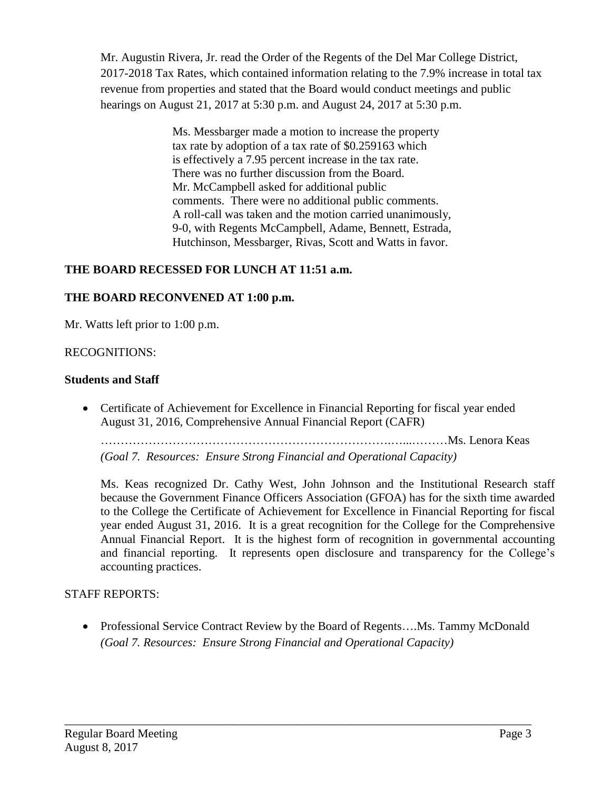Mr. Augustin Rivera, Jr. read the Order of the Regents of the Del Mar College District, 2017-2018 Tax Rates, which contained information relating to the 7.9% increase in total tax revenue from properties and stated that the Board would conduct meetings and public hearings on August 21, 2017 at 5:30 p.m. and August 24, 2017 at 5:30 p.m.

> Ms. Messbarger made a motion to increase the property tax rate by adoption of a tax rate of \$0.259163 which is effectively a 7.95 percent increase in the tax rate. There was no further discussion from the Board. Mr. McCampbell asked for additional public comments. There were no additional public comments. A roll-call was taken and the motion carried unanimously, 9-0, with Regents McCampbell, Adame, Bennett, Estrada, Hutchinson, Messbarger, Rivas, Scott and Watts in favor.

# **THE BOARD RECESSED FOR LUNCH AT 11:51 a.m.**

## **THE BOARD RECONVENED AT 1:00 p.m.**

Mr. Watts left prior to 1:00 p.m.

## RECOGNITIONS:

## **Students and Staff**

 Certificate of Achievement for Excellence in Financial Reporting for fiscal year ended August 31, 2016, Comprehensive Annual Financial Report (CAFR)

……………………………………………………………….…...………Ms. Lenora Keas *(Goal 7. Resources: Ensure Strong Financial and Operational Capacity)*

Ms. Keas recognized Dr. Cathy West, John Johnson and the Institutional Research staff because the Government Finance Officers Association (GFOA) has for the sixth time awarded

to the College the Certificate of Achievement for Excellence in Financial Reporting for fiscal year ended August 31, 2016. It is a great recognition for the College for the Comprehensive Annual Financial Report. It is the highest form of recognition in governmental accounting and financial reporting. It represents open disclosure and transparency for the College's accounting practices.

## STAFF REPORTS:

• Professional Service Contract Review by the Board of Regents....Ms. Tammy McDonald *(Goal 7. Resources: Ensure Strong Financial and Operational Capacity)*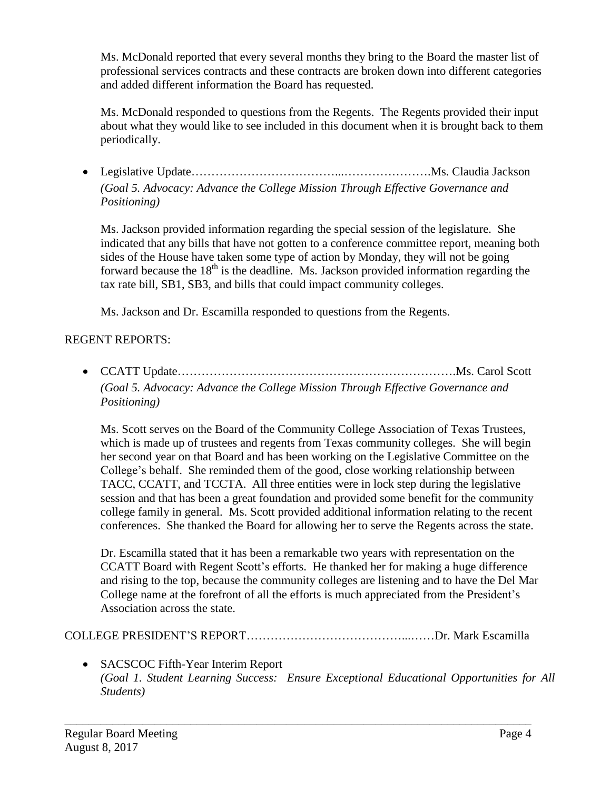Ms. McDonald reported that every several months they bring to the Board the master list of professional services contracts and these contracts are broken down into different categories and added different information the Board has requested.

Ms. McDonald responded to questions from the Regents. The Regents provided their input about what they would like to see included in this document when it is brought back to them periodically.

 Legislative Update………………………………...………………….Ms. Claudia Jackson *(Goal 5. Advocacy: Advance the College Mission Through Effective Governance and Positioning)*

Ms. Jackson provided information regarding the special session of the legislature. She indicated that any bills that have not gotten to a conference committee report, meaning both sides of the House have taken some type of action by Monday, they will not be going forward because the  $18<sup>th</sup>$  is the deadline. Ms. Jackson provided information regarding the tax rate bill, SB1, SB3, and bills that could impact community colleges.

Ms. Jackson and Dr. Escamilla responded to questions from the Regents.

# REGENT REPORTS:

 CCATT Update…………………………………………………………….Ms. Carol Scott *(Goal 5. Advocacy: Advance the College Mission Through Effective Governance and Positioning)*

Ms. Scott serves on the Board of the Community College Association of Texas Trustees, which is made up of trustees and regents from Texas community colleges. She will begin her second year on that Board and has been working on the Legislative Committee on the College's behalf. She reminded them of the good, close working relationship between TACC, CCATT, and TCCTA. All three entities were in lock step during the legislative session and that has been a great foundation and provided some benefit for the community college family in general. Ms. Scott provided additional information relating to the recent conferences. She thanked the Board for allowing her to serve the Regents across the state.

Dr. Escamilla stated that it has been a remarkable two years with representation on the CCATT Board with Regent Scott's efforts. He thanked her for making a huge difference and rising to the top, because the community colleges are listening and to have the Del Mar College name at the forefront of all the efforts is much appreciated from the President's Association across the state.

COLLEGE PRESIDENT'S REPORT…………………………………...……Dr. Mark Escamilla

\_\_\_\_\_\_\_\_\_\_\_\_\_\_\_\_\_\_\_\_\_\_\_\_\_\_\_\_\_\_\_\_\_\_\_\_\_\_\_\_\_\_\_\_\_\_\_\_\_\_\_\_\_\_\_\_\_\_\_\_\_\_\_\_\_\_\_\_\_\_\_\_\_\_\_\_\_\_

 SACSCOC Fifth-Year Interim Report *(Goal 1. Student Learning Success: Ensure Exceptional Educational Opportunities for All Students)*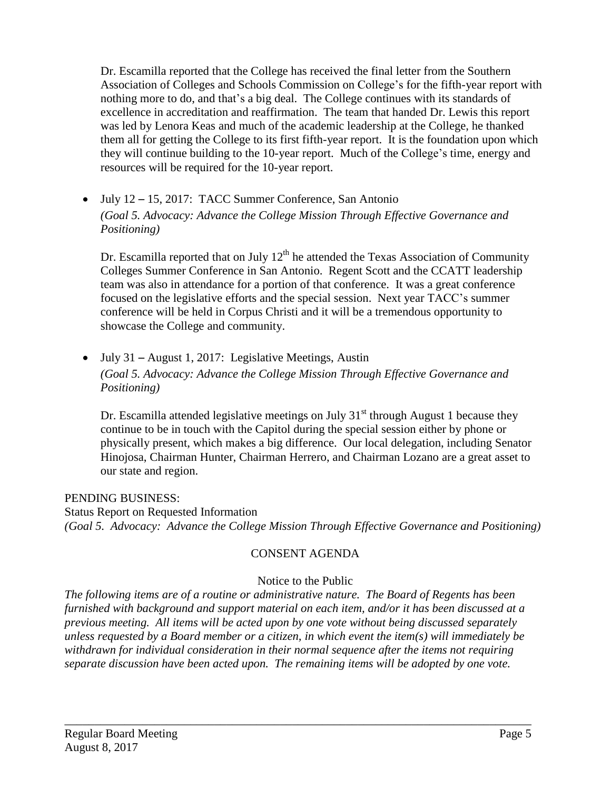Dr. Escamilla reported that the College has received the final letter from the Southern Association of Colleges and Schools Commission on College's for the fifth-year report with nothing more to do, and that's a big deal. The College continues with its standards of excellence in accreditation and reaffirmation. The team that handed Dr. Lewis this report was led by Lenora Keas and much of the academic leadership at the College, he thanked them all for getting the College to its first fifth-year report. It is the foundation upon which they will continue building to the 10-year report. Much of the College's time, energy and resources will be required for the 10-year report.

 July 12 – 15, 2017: TACC Summer Conference, San Antonio *(Goal 5. Advocacy: Advance the College Mission Through Effective Governance and Positioning)*

Dr. Escamilla reported that on July  $12<sup>th</sup>$  he attended the Texas Association of Community Colleges Summer Conference in San Antonio. Regent Scott and the CCATT leadership team was also in attendance for a portion of that conference. It was a great conference focused on the legislative efforts and the special session. Next year TACC's summer conference will be held in Corpus Christi and it will be a tremendous opportunity to showcase the College and community.

 July 31 – August 1, 2017: Legislative Meetings, Austin *(Goal 5. Advocacy: Advance the College Mission Through Effective Governance and Positioning)*

Dr. Escamilla attended legislative meetings on July  $31<sup>st</sup>$  through August 1 because they continue to be in touch with the Capitol during the special session either by phone or physically present, which makes a big difference. Our local delegation, including Senator Hinojosa, Chairman Hunter, Chairman Herrero, and Chairman Lozano are a great asset to our state and region.

PENDING BUSINESS: Status Report on Requested Information *(Goal 5. Advocacy: Advance the College Mission Through Effective Governance and Positioning)*

# CONSENT AGENDA

# Notice to the Public

*The following items are of a routine or administrative nature. The Board of Regents has been furnished with background and support material on each item, and/or it has been discussed at a previous meeting. All items will be acted upon by one vote without being discussed separately unless requested by a Board member or a citizen, in which event the item(s) will immediately be withdrawn for individual consideration in their normal sequence after the items not requiring separate discussion have been acted upon. The remaining items will be adopted by one vote.*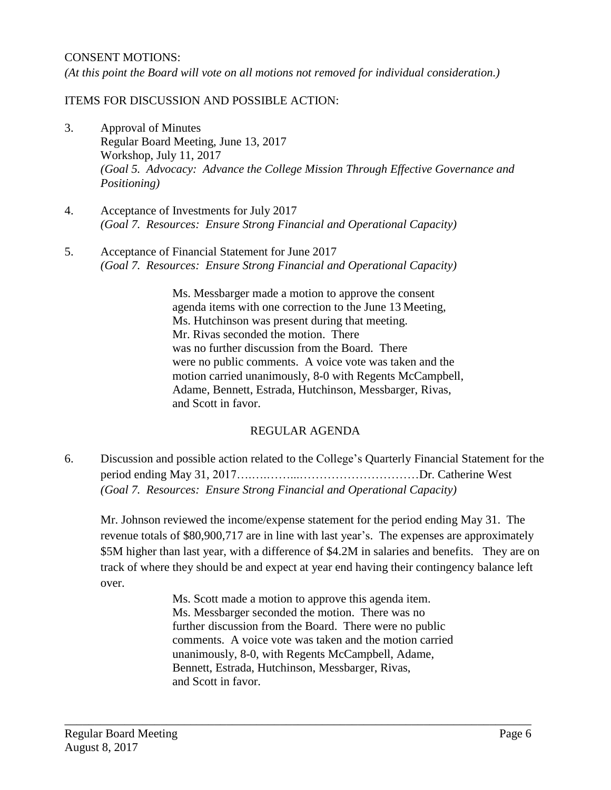#### CONSENT MOTIONS:

*(At this point the Board will vote on all motions not removed for individual consideration.)*

### ITEMS FOR DISCUSSION AND POSSIBLE ACTION:

- 3. Approval of Minutes Regular Board Meeting, June 13, 2017 Workshop, July 11, 2017 *(Goal 5. Advocacy: Advance the College Mission Through Effective Governance and Positioning)*
- 4. Acceptance of Investments for July 2017 *(Goal 7. Resources: Ensure Strong Financial and Operational Capacity)*
- 5. Acceptance of Financial Statement for June 2017 *(Goal 7. Resources: Ensure Strong Financial and Operational Capacity)*

Ms. Messbarger made a motion to approve the consent agenda items with one correction to the June 13 Meeting, Ms. Hutchinson was present during that meeting. Mr. Rivas seconded the motion. There was no further discussion from the Board. There were no public comments. A voice vote was taken and the motion carried unanimously, 8-0 with Regents McCampbell, Adame, Bennett, Estrada, Hutchinson, Messbarger, Rivas, and Scott in favor.

## REGULAR AGENDA

6. Discussion and possible action related to the College's Quarterly Financial Statement for the period ending May 31, 2017….….……...…………………………Dr. Catherine West *(Goal 7. Resources: Ensure Strong Financial and Operational Capacity)*

Mr. Johnson reviewed the income/expense statement for the period ending May 31. The revenue totals of \$80,900,717 are in line with last year's. The expenses are approximately \$5M higher than last year, with a difference of \$4.2M in salaries and benefits. They are on track of where they should be and expect at year end having their contingency balance left over.

> Ms. Scott made a motion to approve this agenda item. Ms. Messbarger seconded the motion. There was no further discussion from the Board. There were no public comments. A voice vote was taken and the motion carried unanimously, 8-0, with Regents McCampbell, Adame, Bennett, Estrada, Hutchinson, Messbarger, Rivas, and Scott in favor.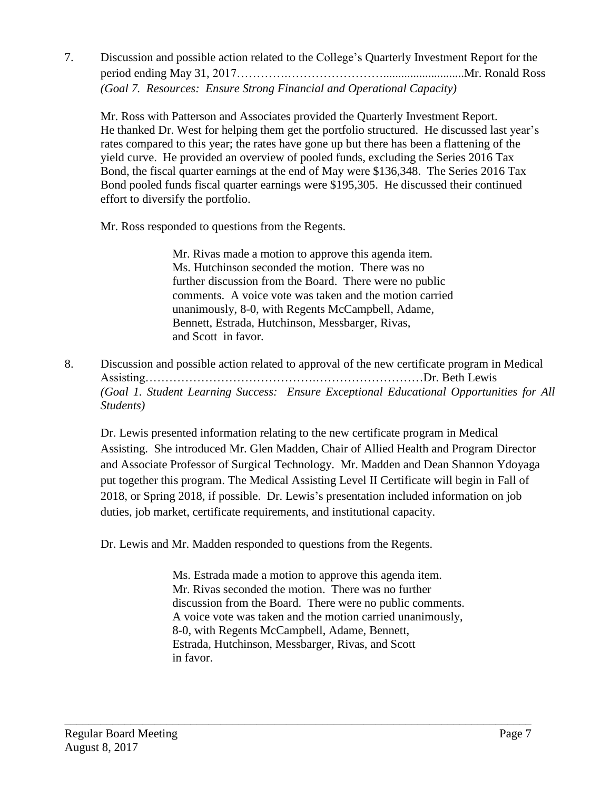7. Discussion and possible action related to the College's Quarterly Investment Report for the period ending May 31, 2017………….……………………...........................Mr. Ronald Ross *(Goal 7. Resources: Ensure Strong Financial and Operational Capacity)*

Mr. Ross with Patterson and Associates provided the Quarterly Investment Report. He thanked Dr. West for helping them get the portfolio structured. He discussed last year's rates compared to this year; the rates have gone up but there has been a flattening of the yield curve. He provided an overview of pooled funds, excluding the Series 2016 Tax Bond, the fiscal quarter earnings at the end of May were \$136,348. The Series 2016 Tax Bond pooled funds fiscal quarter earnings were \$195,305. He discussed their continued effort to diversify the portfolio.

Mr. Ross responded to questions from the Regents.

Mr. Rivas made a motion to approve this agenda item. Ms. Hutchinson seconded the motion. There was no further discussion from the Board. There were no public comments. A voice vote was taken and the motion carried unanimously, 8-0, with Regents McCampbell, Adame, Bennett, Estrada, Hutchinson, Messbarger, Rivas, and Scott in favor.

8. Discussion and possible action related to approval of the new certificate program in Medical Assisting…………………………………….………………………Dr. Beth Lewis *(Goal 1. Student Learning Success: Ensure Exceptional Educational Opportunities for All Students)*

Dr. Lewis presented information relating to the new certificate program in Medical Assisting. She introduced Mr. Glen Madden, Chair of Allied Health and Program Director and Associate Professor of Surgical Technology. Mr. Madden and Dean Shannon Ydoyaga put together this program. The Medical Assisting Level II Certificate will begin in Fall of 2018, or Spring 2018, if possible. Dr. Lewis's presentation included information on job duties, job market, certificate requirements, and institutional capacity.

Dr. Lewis and Mr. Madden responded to questions from the Regents.

Ms. Estrada made a motion to approve this agenda item. Mr. Rivas seconded the motion. There was no further discussion from the Board. There were no public comments. A voice vote was taken and the motion carried unanimously, 8-0, with Regents McCampbell, Adame, Bennett, Estrada, Hutchinson, Messbarger, Rivas, and Scott in favor.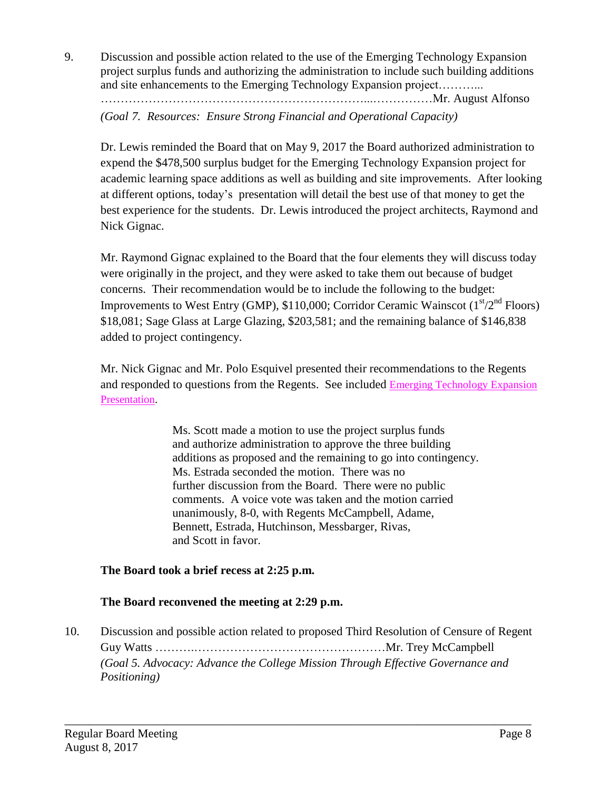9. Discussion and possible action related to the use of the Emerging Technology Expansion project surplus funds and authorizing the administration to include such building additions and site enhancements to the Emerging Technology Expansion project………...

…………………………………………………………...……………Mr. August Alfonso

*(Goal 7. Resources: Ensure Strong Financial and Operational Capacity)*

Dr. Lewis reminded the Board that on May 9, 2017 the Board authorized administration to expend the \$478,500 surplus budget for the Emerging Technology Expansion project for academic learning space additions as well as building and site improvements. After looking at different options, today's presentation will detail the best use of that money to get the best experience for the students. Dr. Lewis introduced the project architects, Raymond and Nick Gignac.

Mr. Raymond Gignac explained to the Board that the four elements they will discuss today were originally in the project, and they were asked to take them out because of budget concerns. Their recommendation would be to include the following to the budget: Improvements to West Entry (GMP), \$110,000; Corridor Ceramic Wainscot  $(1<sup>st</sup>/2<sup>nd</sup>$  Floors) \$18,081; Sage Glass at Large Glazing, \$203,581; and the remaining balance of \$146,838 added to project contingency.

Mr. Nick Gignac and Mr. Polo Esquivel presented their recommendations to the Regents and responded to questions from the Regents. See included Emerging [Technology](http://www.delmar.edu/WorkArea/DownloadAsset.aspx?id=2147485955) Expansion [Presentation.](http://www.delmar.edu/WorkArea/DownloadAsset.aspx?id=2147485955)

> Ms. Scott made a motion to use the project surplus funds and authorize administration to approve the three building additions as proposed and the remaining to go into contingency. Ms. Estrada seconded the motion. There was no further discussion from the Board. There were no public comments. A voice vote was taken and the motion carried unanimously, 8-0, with Regents McCampbell, Adame, Bennett, Estrada, Hutchinson, Messbarger, Rivas, and Scott in favor.

## **The Board took a brief recess at 2:25 p.m.**

### **The Board reconvened the meeting at 2:29 p.m.**

10. Discussion and possible action related to proposed Third Resolution of Censure of Regent Guy Watts ……….…………………………………………Mr. Trey McCampbell *(Goal 5. Advocacy: Advance the College Mission Through Effective Governance and Positioning)*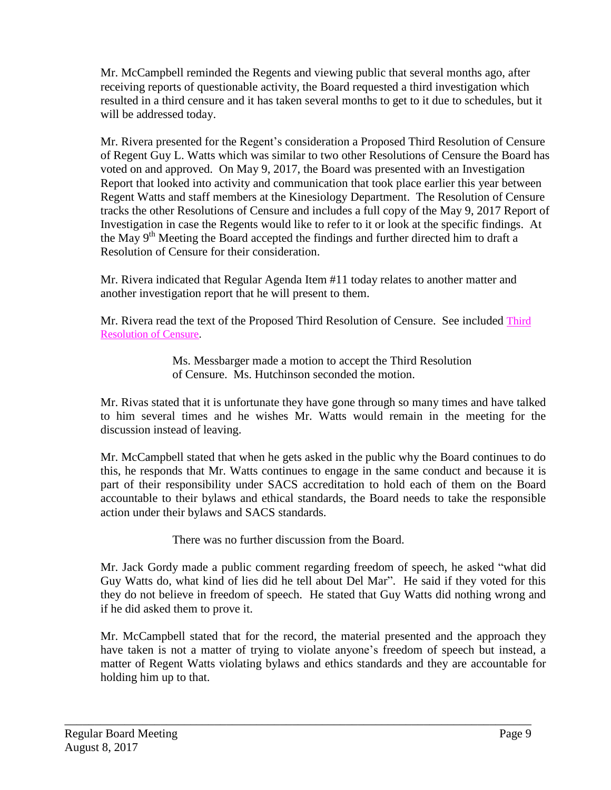Mr. McCampbell reminded the Regents and viewing public that several months ago, after receiving reports of questionable activity, the Board requested a third investigation which resulted in a third censure and it has taken several months to get to it due to schedules, but it will be addressed today.

Mr. Rivera presented for the Regent's consideration a Proposed Third Resolution of Censure of Regent Guy L. Watts which was similar to two other Resolutions of Censure the Board has voted on and approved. On May 9, 2017, the Board was presented with an Investigation Report that looked into activity and communication that took place earlier this year between Regent Watts and staff members at the Kinesiology Department. The Resolution of Censure tracks the other Resolutions of Censure and includes a full copy of the May 9, 2017 Report of Investigation in case the Regents would like to refer to it or look at the specific findings. At the May 9<sup>th</sup> Meeting the Board accepted the findings and further directed him to draft a Resolution of Censure for their consideration.

Mr. Rivera indicated that Regular Agenda Item #11 today relates to another matter and another investigation report that he will present to them.

Mr. Rivera read the text of the Proposed Third Resolution of Censure. See included [Third](http://www.delmar.edu/WorkArea/DownloadAsset.aspx?id=2147485957) [Resolution](http://www.delmar.edu/WorkArea/DownloadAsset.aspx?id=2147485957) of Censure.

> Ms. Messbarger made a motion to accept the Third Resolution of Censure. Ms. Hutchinson seconded the motion.

Mr. Rivas stated that it is unfortunate they have gone through so many times and have talked to him several times and he wishes Mr. Watts would remain in the meeting for the discussion instead of leaving.

Mr. McCampbell stated that when he gets asked in the public why the Board continues to do this, he responds that Mr. Watts continues to engage in the same conduct and because it is part of their responsibility under SACS accreditation to hold each of them on the Board accountable to their bylaws and ethical standards, the Board needs to take the responsible action under their bylaws and SACS standards.

There was no further discussion from the Board.

Mr. Jack Gordy made a public comment regarding freedom of speech, he asked "what did Guy Watts do, what kind of lies did he tell about Del Mar". He said if they voted for this they do not believe in freedom of speech. He stated that Guy Watts did nothing wrong and if he did asked them to prove it.

Mr. McCampbell stated that for the record, the material presented and the approach they have taken is not a matter of trying to violate anyone's freedom of speech but instead, a matter of Regent Watts violating bylaws and ethics standards and they are accountable for holding him up to that.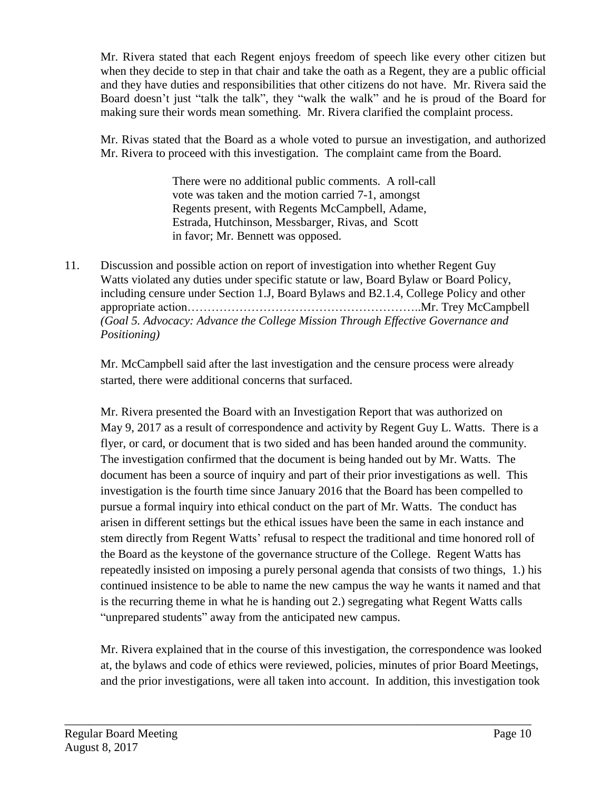Mr. Rivera stated that each Regent enjoys freedom of speech like every other citizen but when they decide to step in that chair and take the oath as a Regent, they are a public official and they have duties and responsibilities that other citizens do not have. Mr. Rivera said the Board doesn't just "talk the talk", they "walk the walk" and he is proud of the Board for making sure their words mean something. Mr. Rivera clarified the complaint process.

Mr. Rivas stated that the Board as a whole voted to pursue an investigation, and authorized Mr. Rivera to proceed with this investigation. The complaint came from the Board.

> There were no additional public comments. A roll-call vote was taken and the motion carried 7-1, amongst Regents present, with Regents McCampbell, Adame, Estrada, Hutchinson, Messbarger, Rivas, and Scott in favor; Mr. Bennett was opposed.

11. Discussion and possible action on report of investigation into whether Regent Guy Watts violated any duties under specific statute or law, Board Bylaw or Board Policy, including censure under Section 1.J, Board Bylaws and B2.1.4, College Policy and other appropriate action…………………………………………………..Mr. Trey McCampbell *(Goal 5. Advocacy: Advance the College Mission Through Effective Governance and Positioning)*

Mr. McCampbell said after the last investigation and the censure process were already started, there were additional concerns that surfaced.

Mr. Rivera presented the Board with an Investigation Report that was authorized on May 9, 2017 as a result of correspondence and activity by Regent Guy L. Watts. There is a flyer, or card, or document that is two sided and has been handed around the community. The investigation confirmed that the document is being handed out by Mr. Watts. The document has been a source of inquiry and part of their prior investigations as well. This investigation is the fourth time since January 2016 that the Board has been compelled to pursue a formal inquiry into ethical conduct on the part of Mr. Watts. The conduct has arisen in different settings but the ethical issues have been the same in each instance and stem directly from Regent Watts' refusal to respect the traditional and time honored roll of the Board as the keystone of the governance structure of the College. Regent Watts has repeatedly insisted on imposing a purely personal agenda that consists of two things, 1.) his continued insistence to be able to name the new campus the way he wants it named and that is the recurring theme in what he is handing out 2.) segregating what Regent Watts calls "unprepared students" away from the anticipated new campus.

Mr. Rivera explained that in the course of this investigation, the correspondence was looked at, the bylaws and code of ethics were reviewed, policies, minutes of prior Board Meetings, and the prior investigations, were all taken into account. In addition, this investigation took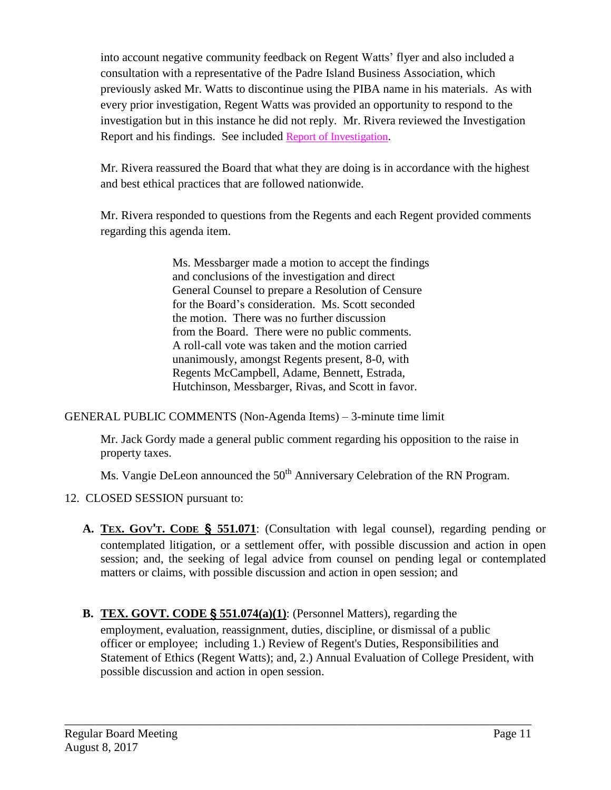into account negative community feedback on Regent Watts' flyer and also included a consultation with a representative of the Padre Island Business Association, which previously asked Mr. Watts to discontinue using the PIBA name in his materials. As with every prior investigation, Regent Watts was provided an opportunity to respond to the investigation but in this instance he did not reply. Mr. Rivera reviewed the Investigation Report and his findings. See included Report of [Investigation](http://www.delmar.edu/WorkArea/DownloadAsset.aspx?id=2147485956).

Mr. Rivera reassured the Board that what they are doing is in accordance with the highest and best ethical practices that are followed nationwide.

Mr. Rivera responded to questions from the Regents and each Regent provided comments regarding this agenda item.

> Ms. Messbarger made a motion to accept the findings and conclusions of the investigation and direct General Counsel to prepare a Resolution of Censure for the Board's consideration. Ms. Scott seconded the motion. There was no further discussion from the Board. There were no public comments. A roll-call vote was taken and the motion carried unanimously, amongst Regents present, 8-0, with Regents McCampbell, Adame, Bennett, Estrada, Hutchinson, Messbarger, Rivas, and Scott in favor.

GENERAL PUBLIC COMMENTS (Non-Agenda Items) – 3-minute time limit

Mr. Jack Gordy made a general public comment regarding his opposition to the raise in property taxes.

Ms. Vangie DeLeon announced the 50<sup>th</sup> Anniversary Celebration of the RN Program.

- 12. CLOSED SESSION pursuant to:
	- **A. TEX. GOV**'**T. CODE** § **551.071**: (Consultation with legal counsel), regarding pending or contemplated litigation, or a settlement offer, with possible discussion and action in open session; and, the seeking of legal advice from counsel on pending legal or contemplated matters or claims, with possible discussion and action in open session; and
	- **B. TEX. GOVT. CODE** § **551.074(a)(1)**: (Personnel Matters), regarding the employment, evaluation, reassignment, duties, discipline, or dismissal of a public officer or employee; including 1.) Review of Regent's Duties, Responsibilities and Statement of Ethics (Regent Watts); and, 2.) Annual Evaluation of College President, with possible discussion and action in open session.